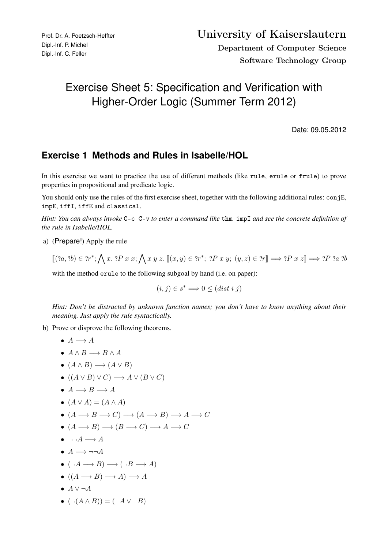## Exercise Sheet 5: Specification and Verification with Higher-Order Logic (Summer Term 2012)

Date: 09.05.2012

## **Exercise 1 Methods and Rules in Isabelle/HOL**

In this exercise we want to practice the use of different methods (like rule, erule or frule) to prove properties in propositional and predicate logic.

You should only use the rules of the first exercise sheet, together with the following additional rules: conjE, impE, iffI, iffE and classical.

*Hint: You can always invoke* C-c C-v *to enter a command like* thm impI *and see the concrete definition of the rule in Isabelle/HOL.*

a) (Prepare!) Apply the rule

$$
\llbracket (?a, ?b) \in ?r^*; \bigwedge x. ?P \ x \ x; \bigwedge x \ y \ z. \ \llbracket (x, y) \in ?r^*; ?P \ x \ y; \ (y, z) \in ?r \rrbracket \Longrightarrow ?P \ x \ z \rrbracket \Longrightarrow ?P \ ?a \ ?b
$$

with the method erule to the following subgoal by hand (i.e. on paper):

$$
(i,j) \in s^* \Longrightarrow 0 \leq (dist \; i \; j)
$$

*Hint: Don't be distracted by unknown function names; you don't have to know anything about their meaning. Just apply the rule syntactically.*

b) Prove or disprove the following theorems.

$$
\bullet\;\; A \longrightarrow A
$$

- $A \wedge B \longrightarrow B \wedge A$
- $\bullet$   $(A \land B) \longrightarrow (A \lor B)$
- $\bullet$   $((A \lor B) \lor C) \longrightarrow A \lor (B \lor C)$
- $\bullet$   $A \rightarrow B \rightarrow A$

$$
\bullet \ (A \lor A) = (A \land A)
$$

- $\bullet$   $(A \rightarrow B \rightarrow C) \rightarrow (A \rightarrow B) \rightarrow A \rightarrow C$
- $\bullet$   $(A \longrightarrow B) \longrightarrow (B \longrightarrow C) \longrightarrow A \longrightarrow C$
- $\bullet \ \neg\neg A \longrightarrow A$
- $A \longrightarrow \neg\neg A$
- $\bullet$   $(\neg A \longrightarrow B) \longrightarrow (\neg B \longrightarrow A)$
- $\bullet$   $((A \rightarrow B) \rightarrow A) \rightarrow A$
- $\bullet$   $A \vee \neg A$
- $(\neg (A \land B)) = (\neg A \lor \neg B)$